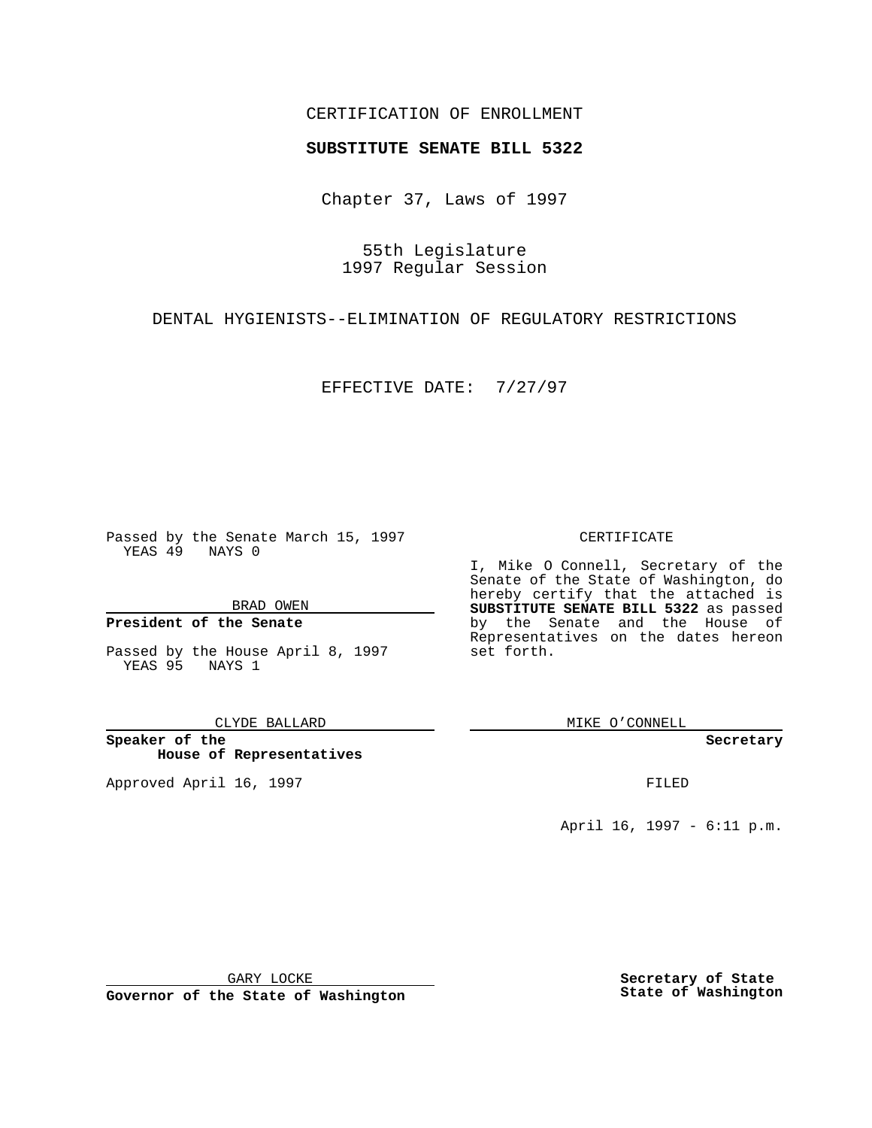### CERTIFICATION OF ENROLLMENT

# **SUBSTITUTE SENATE BILL 5322**

Chapter 37, Laws of 1997

55th Legislature 1997 Regular Session

DENTAL HYGIENISTS--ELIMINATION OF REGULATORY RESTRICTIONS

EFFECTIVE DATE: 7/27/97

Passed by the Senate March 15, 1997 YEAS 49 NAYS 0

BRAD OWEN

### **President of the Senate**

Passed by the House April 8, 1997 YEAS 95 NAYS 1

CLYDE BALLARD

**Speaker of the House of Representatives**

Approved April 16, 1997 **FILED** 

#### CERTIFICATE

I, Mike O Connell, Secretary of the Senate of the State of Washington, do hereby certify that the attached is **SUBSTITUTE SENATE BILL 5322** as passed by the Senate and the House of Representatives on the dates hereon set forth.

MIKE O'CONNELL

**Secretary**

April 16, 1997 - 6:11 p.m.

GARY LOCKE

**Governor of the State of Washington**

**Secretary of State State of Washington**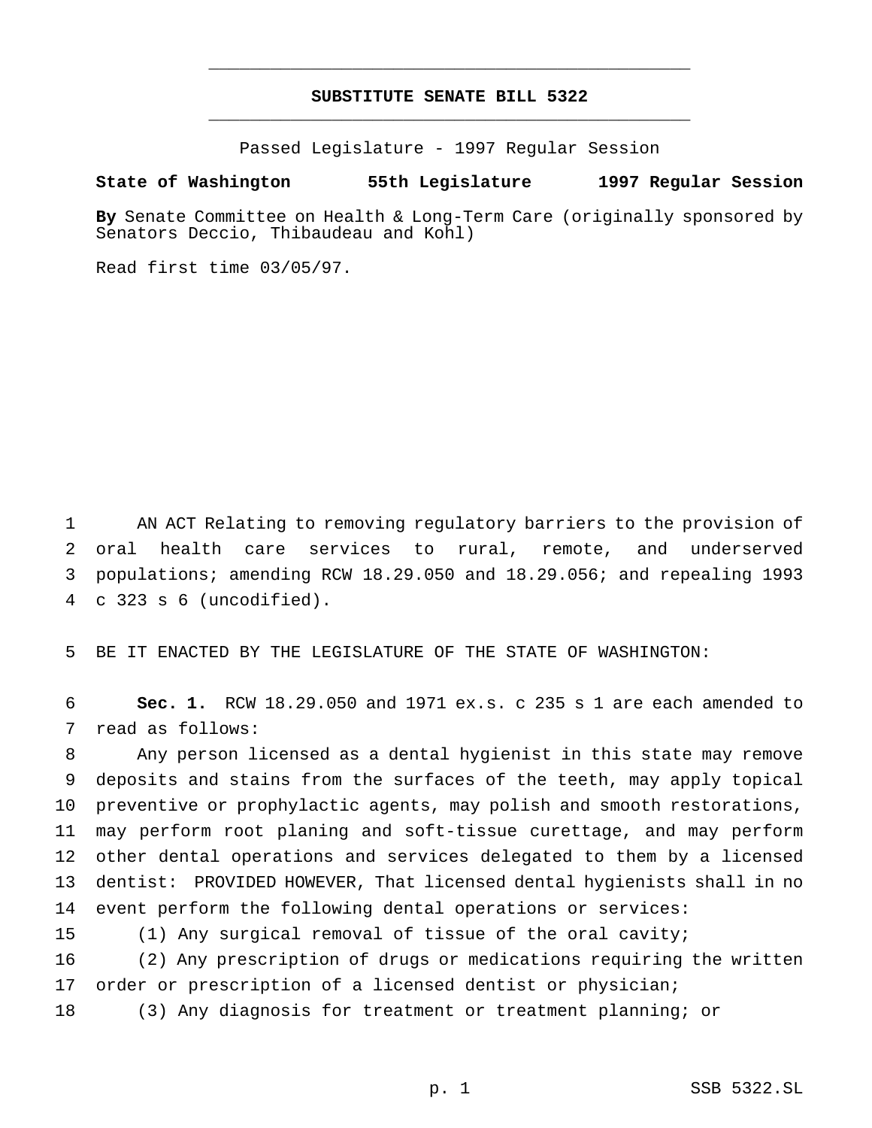## **SUBSTITUTE SENATE BILL 5322** \_\_\_\_\_\_\_\_\_\_\_\_\_\_\_\_\_\_\_\_\_\_\_\_\_\_\_\_\_\_\_\_\_\_\_\_\_\_\_\_\_\_\_\_\_\_\_

\_\_\_\_\_\_\_\_\_\_\_\_\_\_\_\_\_\_\_\_\_\_\_\_\_\_\_\_\_\_\_\_\_\_\_\_\_\_\_\_\_\_\_\_\_\_\_

Passed Legislature - 1997 Regular Session

#### **State of Washington 55th Legislature 1997 Regular Session**

**By** Senate Committee on Health & Long-Term Care (originally sponsored by Senators Deccio, Thibaudeau and Kohl)

Read first time 03/05/97.

 AN ACT Relating to removing regulatory barriers to the provision of oral health care services to rural, remote, and underserved populations; amending RCW 18.29.050 and 18.29.056; and repealing 1993 c 323 s 6 (uncodified).

BE IT ENACTED BY THE LEGISLATURE OF THE STATE OF WASHINGTON:

 **Sec. 1.** RCW 18.29.050 and 1971 ex.s. c 235 s 1 are each amended to read as follows:

 Any person licensed as a dental hygienist in this state may remove deposits and stains from the surfaces of the teeth, may apply topical preventive or prophylactic agents, may polish and smooth restorations, may perform root planing and soft-tissue curettage, and may perform other dental operations and services delegated to them by a licensed dentist: PROVIDED HOWEVER, That licensed dental hygienists shall in no event perform the following dental operations or services:

(1) Any surgical removal of tissue of the oral cavity;

 (2) Any prescription of drugs or medications requiring the written 17 order or prescription of a licensed dentist or physician;

(3) Any diagnosis for treatment or treatment planning; or